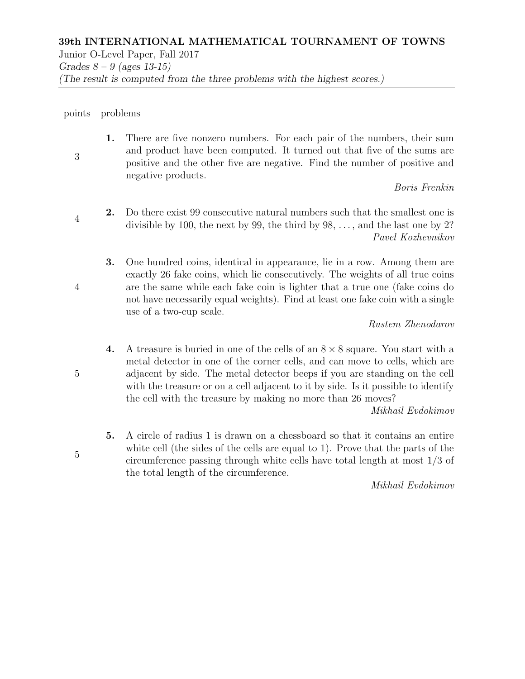## points problems

3 1. There are five nonzero numbers. For each pair of the numbers, their sum and product have been computed. It turned out that five of the sums are positive and the other five are negative. Find the number of positive and negative products.

Boris Frenkin

- 4 2. Do there exist 99 consecutive natural numbers such that the smallest one is divisible by 100, the next by 99, the third by  $98, \ldots$ , and the last one by 2? Pavel Kozhevnikov
	- 3. One hundred coins, identical in appearance, lie in a row. Among them are exactly 26 fake coins, which lie consecutively. The weights of all true coins are the same while each fake coin is lighter that a true one (fake coins do not have necessarily equal weights). Find at least one fake coin with a single use of a two-cup scale.

## Rustem Zhenodarov

4. A treasure is buried in one of the cells of an  $8 \times 8$  square. You start with a metal detector in one of the corner cells, and can move to cells, which are adjacent by side. The metal detector beeps if you are standing on the cell with the treasure or on a cell adjacent to it by side. Is it possible to identify the cell with the treasure by making no more than 26 moves?

Mikhail Evdokimov

5. A circle of radius 1 is drawn on a chessboard so that it contains an entire white cell (the sides of the cells are equal to 1). Prove that the parts of the circumference passing through white cells have total length at most 1/3 of the total length of the circumference.

Mikhail Evdokimov

5

5

4